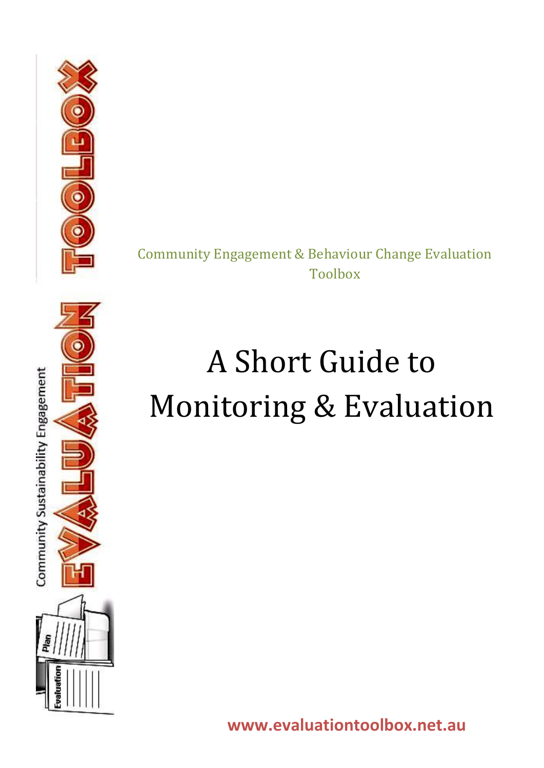

Community Engagement & Behaviour Change Evaluation Toolbox

# A Short Guide to Monitoring & Evaluation

**www.evaluationtoolbox.net.au**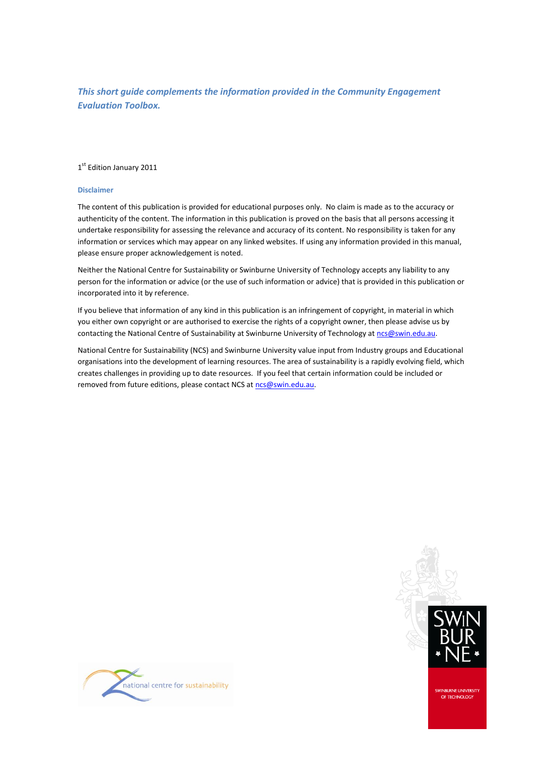#### *This short guide complements the information provided in the Community Engagement Evaluation Toolbox.*

#### 1st Edition January 2011

#### **Disclaimer**

The content of this publication is provided for educational purposes only. No claim is made as to the accuracy or authenticity of the content. The information in this publication is proved on the basis that all persons accessing it undertake responsibility for assessing the relevance and accuracy of its content. No responsibility is taken for any information or services which may appear on any linked websites. If using any information provided in this manual, please ensure proper acknowledgement is noted.

Neither the National Centre for Sustainability or Swinburne University of Technology accepts any liability to any person for the information or advice (or the use of such information or advice) that is provided in this publication or incorporated into it by reference.

If you believe that information of any kind in this publication is an infringement of copyright, in material in which you either own copyright or are authorised to exercise the rights of a copyright owner, then please advise us by contacting the National Centre of Sustainability at Swinburne University of Technology a[t ncs@swin.edu.au.](mailto:ncs@swin.edu.au)

National Centre for Sustainability (NCS) and Swinburne University value input from Industry groups and Educational organisations into the development of learning resources. The area of sustainability is a rapidly evolving field, which creates challenges in providing up to date resources. If you feel that certain information could be included or removed from future editions, please contact NCS a[t ncs@swin.edu.au.](mailto:ncs@swin.edu.au)



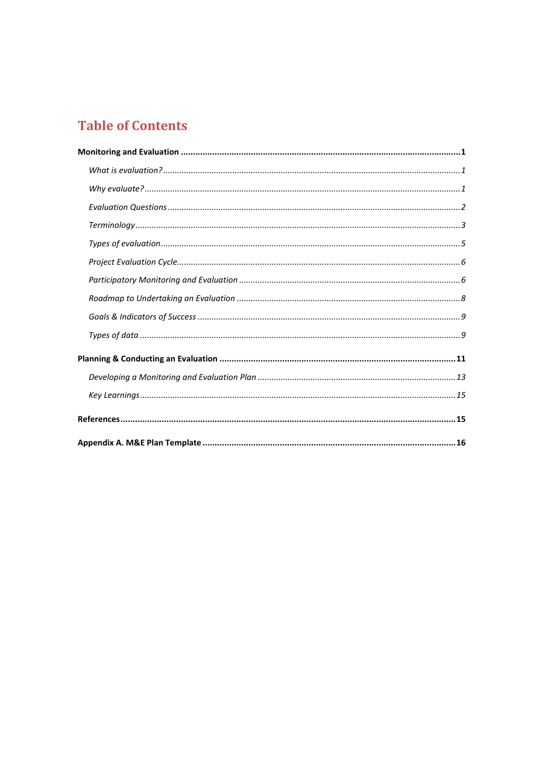# **Table of Contents**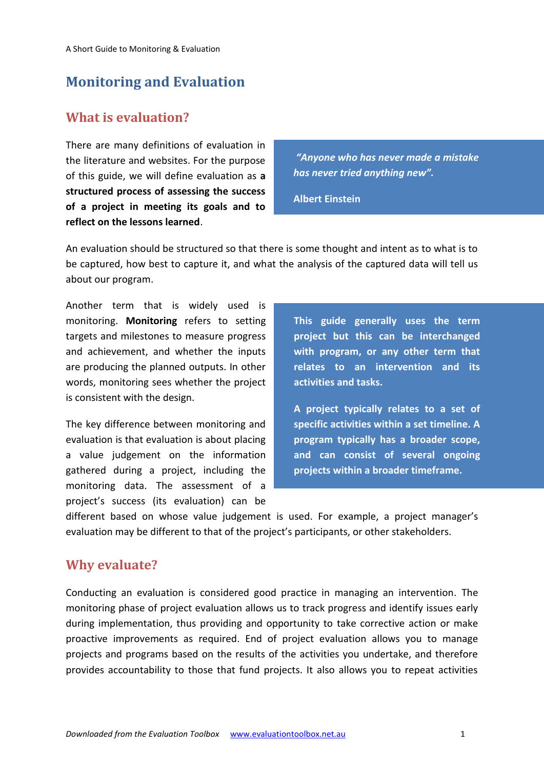# <span id="page-3-0"></span>**Monitoring and Evaluation**

### <span id="page-3-1"></span>**What is evaluation?**

There are many definitions of evaluation in the literature and websites. For the purpose of this guide, we will define evaluation as **a structured process of assessing the success of a project in meeting its goals and to reflect on the lessons learned**.

*"Anyone who has never made a mistake has never tried anything new".*

**Albert Einstein**

An evaluation should be structured so that there is some thought and intent as to what is to be captured, how best to capture it, and what the analysis of the captured data will tell us about our program.

Another term that is widely used is monitoring. **Monitoring** refers to setting targets and milestones to measure progress and achievement, and whether the inputs are producing the planned outputs. In other words, monitoring sees whether the project is consistent with the design.

The key difference between monitoring and evaluation is that evaluation is about placing a value judgement on the information gathered during a project, including the monitoring data. The assessment of a project's success (its evaluation) can be

**This guide generally uses the term project but this can be interchanged with program, or any other term that relates to an intervention and its activities and tasks.**

**A project typically relates to a set of specific activities within a set timeline. A program typically has a broader scope, and can consist of several ongoing projects within a broader timeframe.**

different based on whose value judgement is used. For example, a project manager's evaluation may be different to that of the project's participants, or other stakeholders.

### <span id="page-3-2"></span>**Why evaluate?**

Conducting an evaluation is considered good practice in managing an intervention. The monitoring phase of project evaluation allows us to track progress and identify issues early during implementation, thus providing and opportunity to take corrective action or make proactive improvements as required. End of project evaluation allows you to manage projects and programs based on the results of the activities you undertake, and therefore provides accountability to those that fund projects. It also allows you to repeat activities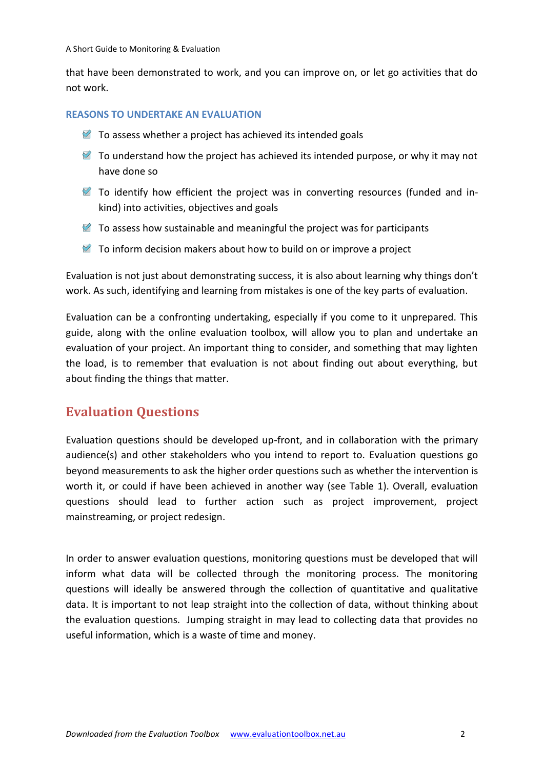that have been demonstrated to work, and you can improve on, or let go activities that do not work.

#### **REASONS TO UNDERTAKE AN EVALUATION**

- $\blacksquare$  To assess whether a project has achieved its intended goals
- $\mathcal{F}$  To understand how the project has achieved its intended purpose, or why it may not have done so
- To identify how efficient the project was in converting resources (funded and inkind) into activities, objectives and goals
- $\blacksquare$  To assess how sustainable and meaningful the project was for participants
- $\mathbb Z$  To inform decision makers about how to build on or improve a project

Evaluation is not just about demonstrating success, it is also about learning why things don't work. As such, identifying and learning from mistakes is one of the key parts of evaluation.

Evaluation can be a confronting undertaking, especially if you come to it unprepared. This guide, along with the online evaluation toolbox, will allow you to plan and undertake an evaluation of your project. An important thing to consider, and something that may lighten the load, is to remember that evaluation is not about finding out about everything, but about finding the things that matter.

### <span id="page-4-0"></span>**Evaluation Questions**

Evaluation questions should be developed up-front, and in collaboration with the primary audience(s) and other stakeholders who you intend to report to. Evaluation questions go beyond measurements to ask the higher order questions such as whether the intervention is worth it, or could if have been achieved in another way (see Table 1). Overall, evaluation questions should lead to further action such as project improvement, project mainstreaming, or project redesign.

In order to answer evaluation questions, monitoring questions must be developed that will inform what data will be collected through the monitoring process. The monitoring questions will ideally be answered through the collection of quantitative and qualitative data. It is important to not leap straight into the collection of data, without thinking about the evaluation questions. Jumping straight in may lead to collecting data that provides no useful information, which is a waste of time and money.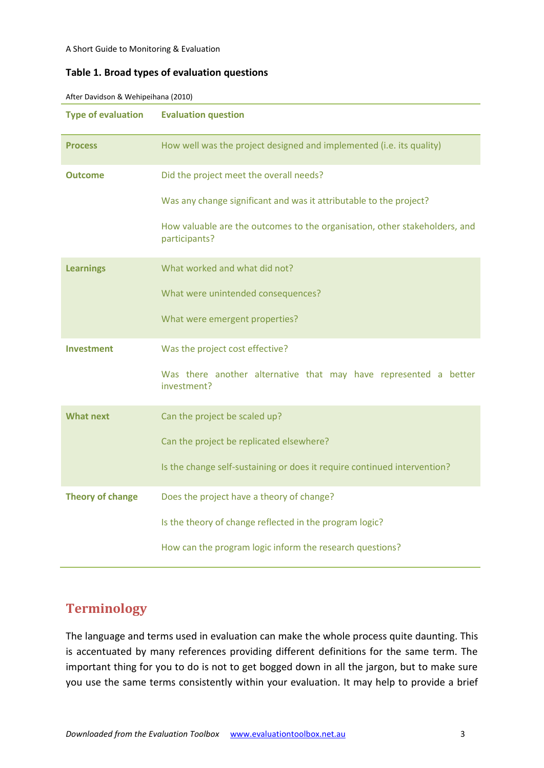#### **Table 1. Broad types of evaluation questions**

| <b>Type of evaluation</b> | <b>Evaluation question</b>                                                                  |  |  |  |  |  |
|---------------------------|---------------------------------------------------------------------------------------------|--|--|--|--|--|
| <b>Process</b>            | How well was the project designed and implemented (i.e. its quality)                        |  |  |  |  |  |
| <b>Outcome</b>            | Did the project meet the overall needs?                                                     |  |  |  |  |  |
|                           | Was any change significant and was it attributable to the project?                          |  |  |  |  |  |
|                           | How valuable are the outcomes to the organisation, other stakeholders, and<br>participants? |  |  |  |  |  |
| <b>Learnings</b>          | What worked and what did not?                                                               |  |  |  |  |  |
|                           | What were unintended consequences?                                                          |  |  |  |  |  |
|                           | What were emergent properties?                                                              |  |  |  |  |  |
| <b>Investment</b>         | Was the project cost effective?                                                             |  |  |  |  |  |
|                           | Was there another alternative that may have represented a better<br>investment?             |  |  |  |  |  |
| <b>What next</b>          | Can the project be scaled up?                                                               |  |  |  |  |  |
|                           | Can the project be replicated elsewhere?                                                    |  |  |  |  |  |
|                           | Is the change self-sustaining or does it require continued intervention?                    |  |  |  |  |  |
| <b>Theory of change</b>   | Does the project have a theory of change?                                                   |  |  |  |  |  |
|                           | Is the theory of change reflected in the program logic?                                     |  |  |  |  |  |
|                           | How can the program logic inform the research questions?                                    |  |  |  |  |  |

After Davidson & Wehipeihana (2010)

# <span id="page-5-0"></span>**Terminology**

The language and terms used in evaluation can make the whole process quite daunting. This is accentuated by many references providing different definitions for the same term. The important thing for you to do is not to get bogged down in all the jargon, but to make sure you use the same terms consistently within your evaluation. It may help to provide a brief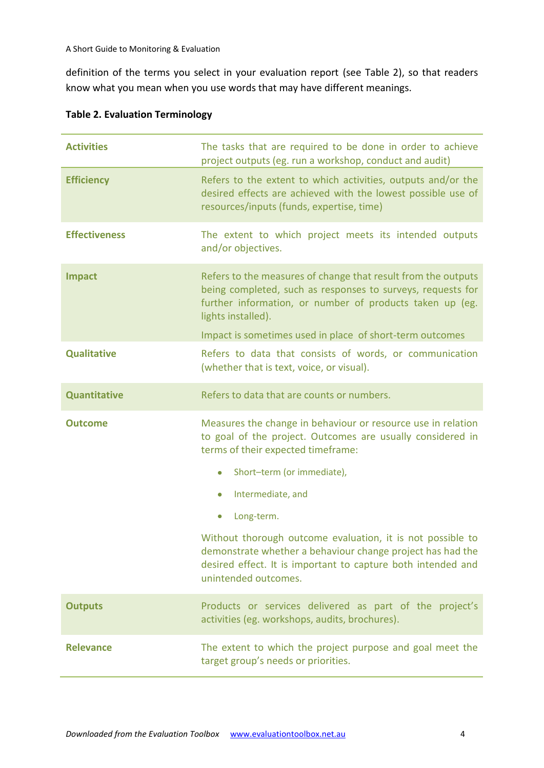definition of the terms you select in your evaluation report (see Table 2), so that readers know what you mean when you use words that may have different meanings.

| <b>Activities</b>    | The tasks that are required to be done in order to achieve<br>project outputs (eg. run a workshop, conduct and audit)                                                                                            |  |  |  |  |
|----------------------|------------------------------------------------------------------------------------------------------------------------------------------------------------------------------------------------------------------|--|--|--|--|
| <b>Efficiency</b>    | Refers to the extent to which activities, outputs and/or the<br>desired effects are achieved with the lowest possible use of<br>resources/inputs (funds, expertise, time)                                        |  |  |  |  |
| <b>Effectiveness</b> | The extent to which project meets its intended outputs<br>and/or objectives.                                                                                                                                     |  |  |  |  |
| <b>Impact</b>        | Refers to the measures of change that result from the outputs<br>being completed, such as responses to surveys, requests for<br>further information, or number of products taken up (eg.<br>lights installed).   |  |  |  |  |
|                      | Impact is sometimes used in place of short-term outcomes                                                                                                                                                         |  |  |  |  |
| <b>Qualitative</b>   | Refers to data that consists of words, or communication<br>(whether that is text, voice, or visual).                                                                                                             |  |  |  |  |
| <b>Quantitative</b>  | Refers to data that are counts or numbers.                                                                                                                                                                       |  |  |  |  |
| <b>Outcome</b>       | Measures the change in behaviour or resource use in relation<br>to goal of the project. Outcomes are usually considered in<br>terms of their expected timeframe:                                                 |  |  |  |  |
|                      | Short-term (or immediate),<br>$\bullet$                                                                                                                                                                          |  |  |  |  |
|                      | Intermediate, and<br>$\bullet$                                                                                                                                                                                   |  |  |  |  |
|                      | Long-term.<br>$\bullet$                                                                                                                                                                                          |  |  |  |  |
|                      | Without thorough outcome evaluation, it is not possible to<br>demonstrate whether a behaviour change project has had the<br>desired effect. It is important to capture both intended and<br>unintended outcomes. |  |  |  |  |
| <b>Outputs</b>       | Products or services delivered as part of the project's<br>activities (eg. workshops, audits, brochures).                                                                                                        |  |  |  |  |
| <b>Relevance</b>     | The extent to which the project purpose and goal meet the<br>target group's needs or priorities.                                                                                                                 |  |  |  |  |

#### **Table 2. Evaluation Terminology**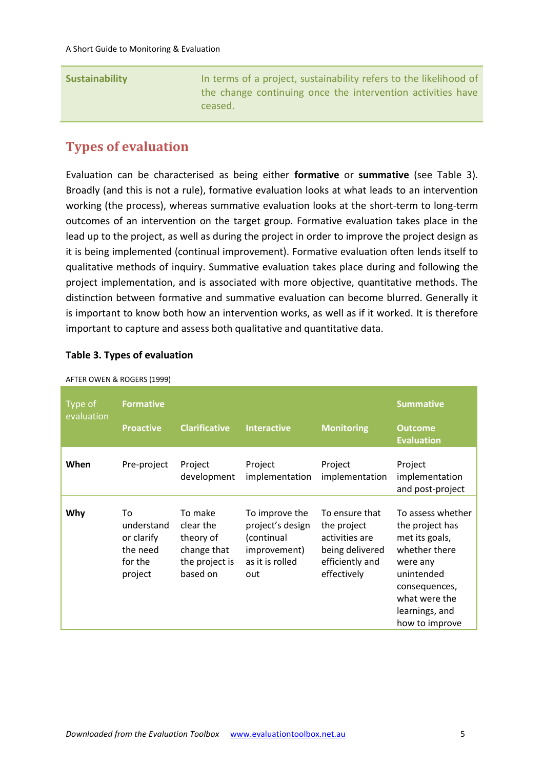|--|

## <span id="page-7-0"></span>**Types of evaluation**

Evaluation can be characterised as being either **formative** or **summative** (see Table 3). Broadly (and this is not a rule), formative evaluation looks at what leads to an intervention working (the process), whereas summative evaluation looks at the short-term to long-term outcomes of an intervention on the target group. Formative evaluation takes place in the lead up to the project, as well as during the project in order to improve the project design as it is being implemented (continual improvement). Formative evaluation often lends itself to qualitative methods of inquiry. Summative evaluation takes place during and following the project implementation, and is associated with more objective, quantitative methods. The distinction between formative and summative evaluation can become blurred. Generally it is important to know both how an intervention works, as well as if it worked. It is therefore important to capture and assess both qualitative and quantitative data.

#### **Table 3. Types of evaluation**

|                       | $1.1$ . Literature is a nobling (1999)                           |                                                                                |                                                                                            |                                                                                                      |                                                                                                                                                                         |
|-----------------------|------------------------------------------------------------------|--------------------------------------------------------------------------------|--------------------------------------------------------------------------------------------|------------------------------------------------------------------------------------------------------|-------------------------------------------------------------------------------------------------------------------------------------------------------------------------|
| Type of<br>evaluation | <b>Formative</b><br><b>Proactive</b>                             | <b>Clarificative</b>                                                           | <b>Interactive</b>                                                                         | <b>Monitoring</b>                                                                                    | <b>Summative</b><br><b>Outcome</b><br><b>Evaluation</b>                                                                                                                 |
| When                  | Pre-project                                                      | Project<br>development                                                         | Project<br>implementation                                                                  | Project<br>implementation                                                                            | Project<br>implementation<br>and post-project                                                                                                                           |
| Why                   | To<br>understand<br>or clarify<br>the need<br>for the<br>project | To make<br>clear the<br>theory of<br>change that<br>the project is<br>based on | To improve the<br>project's design<br>(continual<br>improvement)<br>as it is rolled<br>out | To ensure that<br>the project<br>activities are<br>being delivered<br>efficiently and<br>effectively | To assess whether<br>the project has<br>met its goals,<br>whether there<br>were any<br>unintended<br>consequences,<br>what were the<br>learnings, and<br>how to improve |

AFTER OWEN & ROGERS (1999)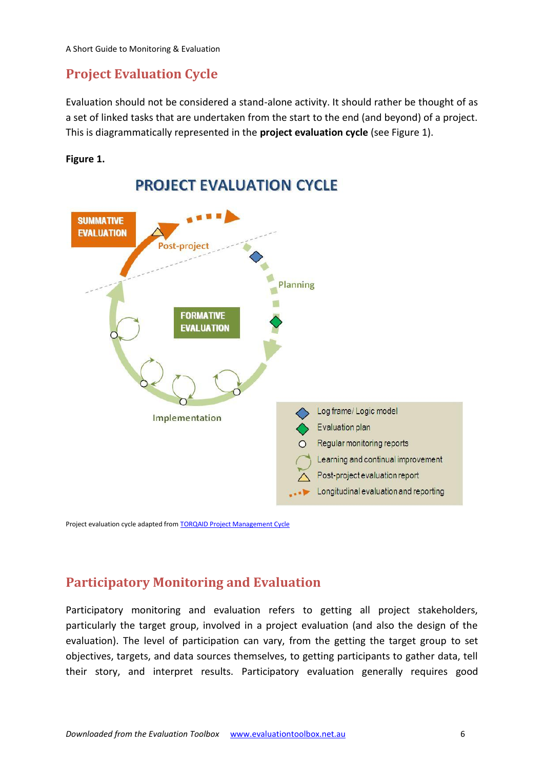## <span id="page-8-0"></span>**Project Evaluation Cycle**

Evaluation should not be considered a stand-alone activity. It should rather be thought of as a set of linked tasks that are undertaken from the start to the end (and beyond) of a project. This is diagrammatically represented in the **project evaluation cycle** (see Figure 1).

#### **Figure 1.**



Project evaluation cycle adapted fro[m TORQAID Project Management Cycle](http://torqaid.com/index.php?option=com_content&view=article&id=47&Itemid=58)

## <span id="page-8-1"></span>**Participatory Monitoring and Evaluation**

Participatory monitoring and evaluation refers to getting all project stakeholders, particularly the target group, involved in a project evaluation (and also the design of the evaluation). The level of participation can vary, from the getting the target group to set objectives, targets, and data sources themselves, to getting participants to gather data, tell their story, and interpret results. Participatory evaluation generally requires good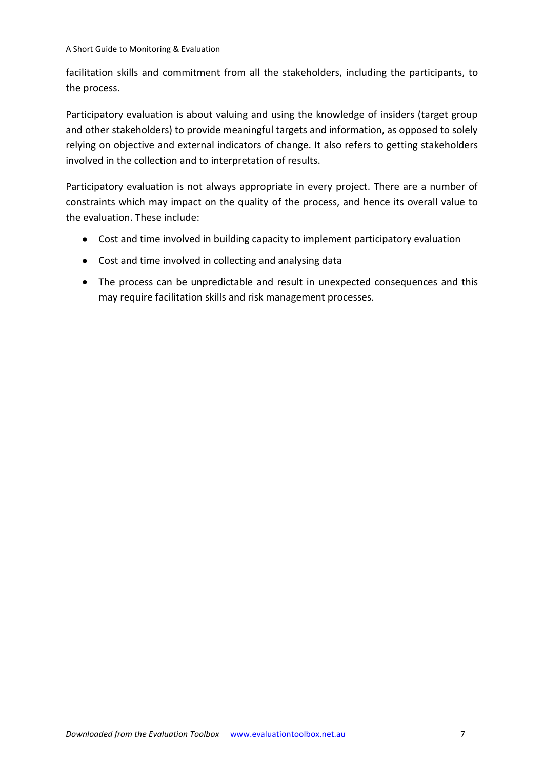facilitation skills and commitment from all the stakeholders, including the participants, to the process.

Participatory evaluation is about valuing and using the knowledge of insiders (target group and other stakeholders) to provide meaningful targets and information, as opposed to solely relying on objective and external indicators of change. It also refers to getting stakeholders involved in the collection and to interpretation of results.

Participatory evaluation is not always appropriate in every project. There are a number of constraints which may impact on the quality of the process, and hence its overall value to the evaluation. These include:

- Cost and time involved in building capacity to implement participatory evaluation
- Cost and time involved in collecting and analysing data
- The process can be unpredictable and result in unexpected consequences and this may require facilitation skills and risk management processes.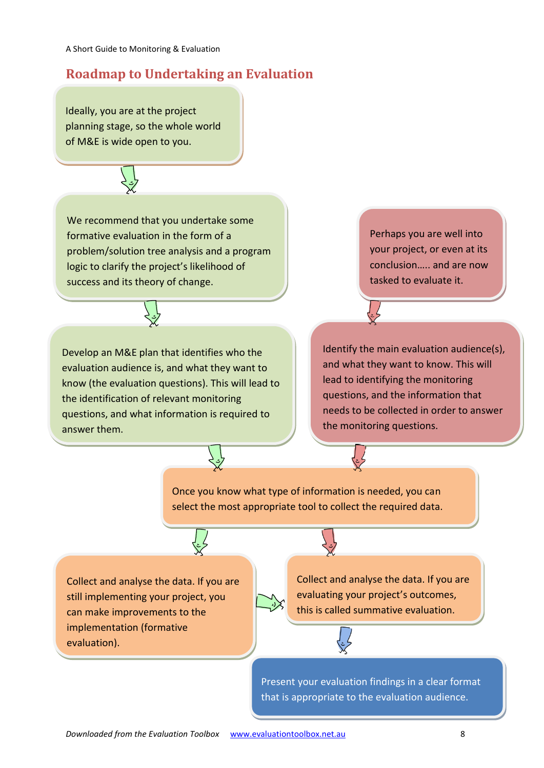## <span id="page-10-0"></span>**Roadmap to Undertaking an Evaluation**

Ideally, you are at the project planning stage, so the whole world of M&E is wide open to you.

We recommend that you undertake the second terms of the second terms of the second terms of the second terms of some formation in the formation in the formation in the formation in the formation in the formation in the formation in the formation in the formation in the formation in the formation in the formation in the formation in of a problem/solution tree analysis and



We recommend that you undertake some formative evaluation in the form of a problem/solution tree analysis and a program logic to clarify the project's likelihood of success and its theory of change.

ge. know (the evaluation questions). This will lead to Develop an M&E plan that identifies who the evaluation audience is, and what they want to the identification of relevant monitoring questions, and what information is required to answer them.

Perhaps you are well into your project, or even at its conclusion….. and are now tasked to evaluate it.

Identify the main evaluation audience(s), and what they want to know. This will lead to identifying the monitoring questions, and the information that needs to be collected in order to answer the monitoring questions.

Once you know what type of information is needed, you can select the most appropriate tool to collect the required data.

Collect and analyse the data. If you are still implementing your project, you can make improvements to the implementation (formative evaluation).

Collect and analyse the data. If you are evaluating your project's outcomes, this is called summative evaluation.

Present your evaluation findings in a clear format that is appropriate to the evaluation audience.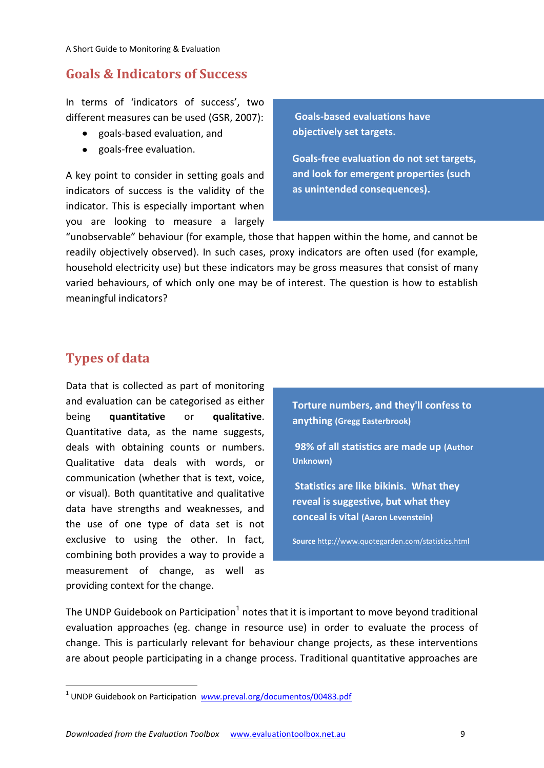## <span id="page-11-0"></span>**Goals & Indicators of Success**

In terms of 'indicators of success', two different measures can be used (GSR, 2007):

- goals-based evaluation, and
- goals-free evaluation.

A key point to consider in setting goals and indicators of success is the validity of the indicator. This is especially important when you are looking to measure a largely

**Goals-based evaluations have objectively set targets.**

**Goals-free evaluation do not set targets, and look for emergent properties (such as unintended consequences).**

"unobservable" behaviour (for example, those that happen within the home, and cannot be readily objectively observed). In such cases, proxy indicators are often used (for example, household electricity use) but these indicators may be gross measures that consist of many varied behaviours, of which only one may be of interest. The question is how to establish meaningful indicators?

## <span id="page-11-1"></span>**Types of data**

1

Data that is collected as part of monitoring and evaluation can be categorised as either being **quantitative** or **qualitative**. Quantitative data, as the name suggests, deals with obtaining counts or numbers. Qualitative data deals with words, or communication (whether that is text, voice, or visual). Both quantitative and qualitative data have strengths and weaknesses, and the use of one type of data set is not exclusive to using the other. In fact, combining both provides a way to provide a measurement of change, as well as providing context for the change.

**Torture numbers, and they'll confess to anything (Gregg Easterbrook)**

**98% of all statistics are made up (Author Unknown)**

**Statistics are like bikinis. What they reveal is suggestive, but what they conceal is vital (Aaron Levenstein)**

**Source** <http://www.quotegarden.com/statistics.html>

The UNDP Guidebook on Participation<sup>1</sup> notes that it is important to move beyond traditional evaluation approaches (eg. change in resource use) in order to evaluate the process of change. This is particularly relevant for behaviour change projects, as these interventions are about people participating in a change process. Traditional quantitative approaches are

<sup>&</sup>lt;sup>1</sup> UNDP Guidebook on Participation *www.[preval.org/documentos/00483.pdf](http://www.preval.org/documentos/00483.pdf)*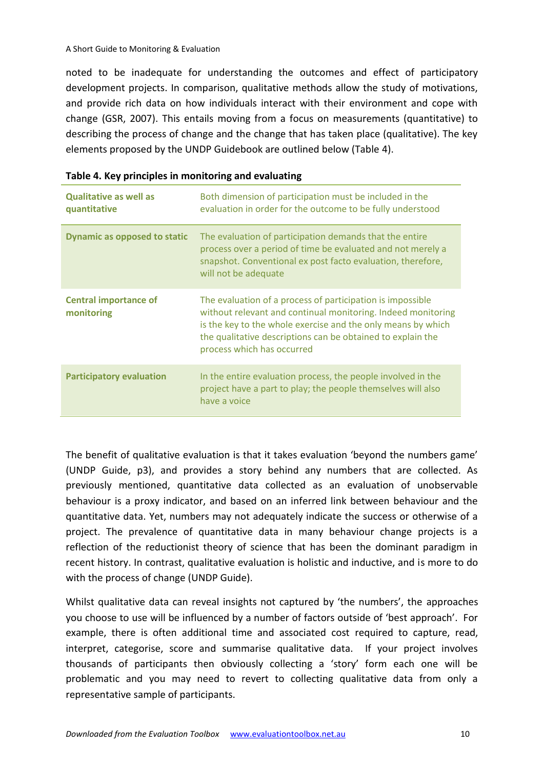noted to be inadequate for understanding the outcomes and effect of participatory development projects. In comparison, qualitative methods allow the study of motivations, and provide rich data on how individuals interact with their environment and cope with change (GSR, 2007). This entails moving from a focus on measurements (quantitative) to describing the process of change and the change that has taken place (qualitative). The key elements proposed by the UNDP Guidebook are outlined below (Table 4).

| <b>Qualitative as well as</b><br>quantitative | Both dimension of participation must be included in the<br>evaluation in order for the outcome to be fully understood                                                                                                                                                                   |
|-----------------------------------------------|-----------------------------------------------------------------------------------------------------------------------------------------------------------------------------------------------------------------------------------------------------------------------------------------|
| <b>Dynamic as opposed to static</b>           | The evaluation of participation demands that the entire<br>process over a period of time be evaluated and not merely a<br>snapshot. Conventional ex post facto evaluation, therefore,<br>will not be adequate                                                                           |
| <b>Central importance of</b><br>monitoring    | The evaluation of a process of participation is impossible<br>without relevant and continual monitoring. Indeed monitoring<br>is the key to the whole exercise and the only means by which<br>the qualitative descriptions can be obtained to explain the<br>process which has occurred |
| <b>Participatory evaluation</b>               | In the entire evaluation process, the people involved in the<br>project have a part to play; the people themselves will also<br>have a voice                                                                                                                                            |

The benefit of qualitative evaluation is that it takes evaluation 'beyond the numbers game' (UNDP Guide, p3), and provides a story behind any numbers that are collected. As previously mentioned, quantitative data collected as an evaluation of unobservable behaviour is a proxy indicator, and based on an inferred link between behaviour and the quantitative data. Yet, numbers may not adequately indicate the success or otherwise of a project. The prevalence of quantitative data in many behaviour change projects is a reflection of the reductionist theory of science that has been the dominant paradigm in recent history. In contrast, qualitative evaluation is holistic and inductive, and is more to do with the process of change (UNDP Guide).

Whilst qualitative data can reveal insights not captured by 'the numbers', the approaches you choose to use will be influenced by a number of factors outside of 'best approach'. For example, there is often additional time and associated cost required to capture, read, interpret, categorise, score and summarise qualitative data. If your project involves thousands of participants then obviously collecting a 'story' form each one will be problematic and you may need to revert to collecting qualitative data from only a representative sample of participants.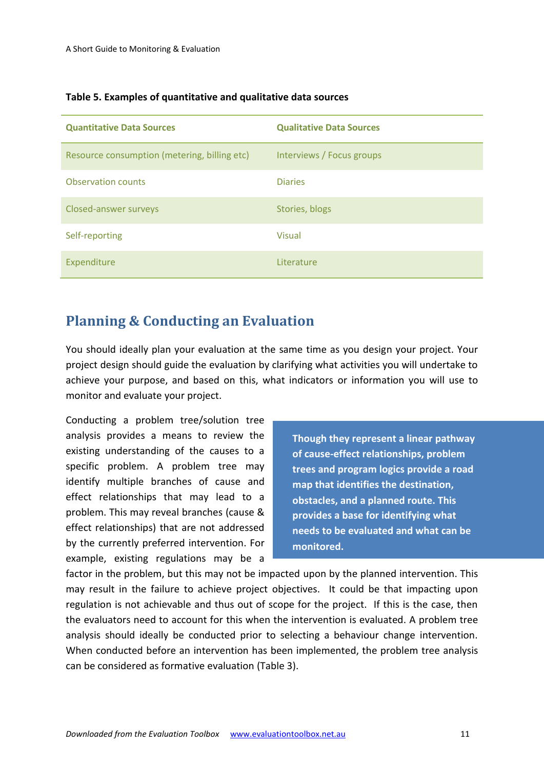| <b>Quantitative Data Sources</b>             | <b>Qualitative Data Sources</b> |
|----------------------------------------------|---------------------------------|
| Resource consumption (metering, billing etc) | Interviews / Focus groups       |
| <b>Observation counts</b>                    | <b>Diaries</b>                  |
| Closed-answer surveys                        | Stories, blogs                  |
| Self-reporting                               | <b>Visual</b>                   |
| Expenditure                                  | Literature                      |

#### **Table 5. Examples of quantitative and qualitative data sources**

## <span id="page-13-0"></span>**Planning & Conducting an Evaluation**

You should ideally plan your evaluation at the same time as you design your project. Your project design should guide the evaluation by clarifying what activities you will undertake to achieve your purpose, and based on this, what indicators or information you will use to monitor and evaluate your project.

Conducting a problem tree/solution tree analysis provides a means to review the existing understanding of the causes to a specific problem. A problem tree may identify multiple branches of cause and effect relationships that may lead to a problem. This may reveal branches (cause & effect relationships) that are not addressed by the currently preferred intervention. For example, existing regulations may be a

**Though they represent a linear pathway of cause-effect relationships, problem trees and program logics provide a road map that identifies the destination, obstacles, and a planned route. This provides a base for identifying what needs to be evaluated and what can be monitored.**

factor in the problem, but this may not be impacted upon by the planned intervention. This may result in the failure to achieve project objectives. It could be that impacting upon regulation is not achievable and thus out of scope for the project. If this is the case, then the evaluators need to account for this when the intervention is evaluated. A problem tree analysis should ideally be conducted prior to selecting a behaviour change intervention. When conducted before an intervention has been implemented, the problem tree analysis can be considered as formative evaluation (Table 3).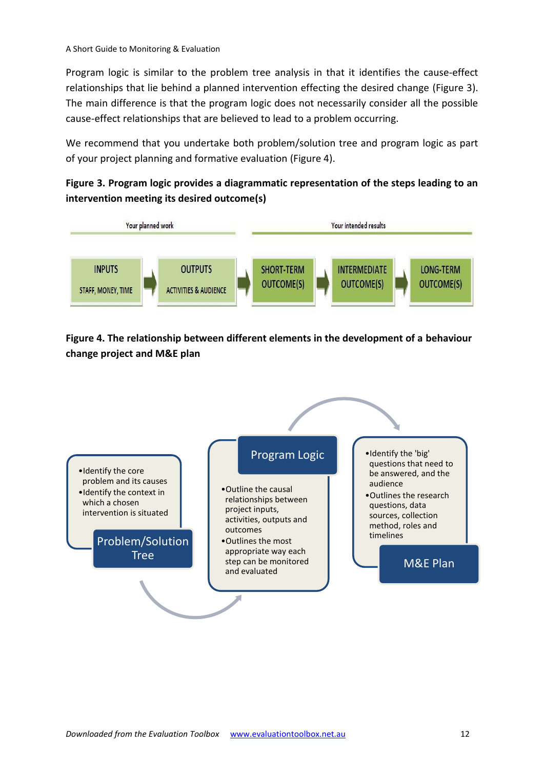Program logic is similar to the problem tree analysis in that it identifies the cause-effect relationships that lie behind a planned intervention effecting the desired change (Figure 3). The main difference is that the program logic does not necessarily consider all the possible cause-effect relationships that are believed to lead to a problem occurring.

We recommend that you undertake both problem/solution tree and program logic as part of your project planning and formative evaluation (Figure 4).

#### **Figure 3. Program logic provides a diagrammatic representation of the steps leading to an intervention meeting its desired outcome(s)**



**Figure 4. The relationship between different elements in the development of a behaviour change project and M&E plan**

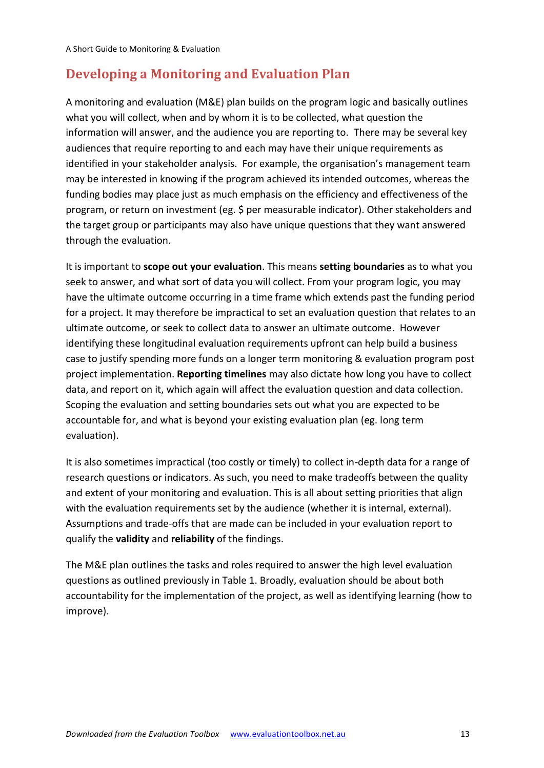## <span id="page-15-0"></span>**Developing a Monitoring and Evaluation Plan**

A monitoring and evaluation (M&E) plan builds on the program logic and basically outlines what you will collect, when and by whom it is to be collected, what question the information will answer, and the audience you are reporting to. There may be several key audiences that require reporting to and each may have their unique requirements as identified in your stakeholder analysis. For example, the organisation's management team may be interested in knowing if the program achieved its intended outcomes, whereas the funding bodies may place just as much emphasis on the efficiency and effectiveness of the program, or return on investment (eg. \$ per measurable indicator). Other stakeholders and the target group or participants may also have unique questions that they want answered through the evaluation.

It is important to **scope out your evaluation**. This means **setting boundaries** as to what you seek to answer, and what sort of data you will collect. From your program logic, you may have the ultimate outcome occurring in a time frame which extends past the funding period for a project. It may therefore be impractical to set an evaluation question that relates to an ultimate outcome, or seek to collect data to answer an ultimate outcome. However identifying these longitudinal evaluation requirements upfront can help build a business case to justify spending more funds on a longer term monitoring & evaluation program post project implementation. **Reporting timelines** may also dictate how long you have to collect data, and report on it, which again will affect the evaluation question and data collection. Scoping the evaluation and setting boundaries sets out what you are expected to be accountable for, and what is beyond your existing evaluation plan (eg. long term evaluation).

It is also sometimes impractical (too costly or timely) to collect in-depth data for a range of research questions or indicators. As such, you need to make tradeoffs between the quality and extent of your monitoring and evaluation. This is all about setting priorities that align with the evaluation requirements set by the audience (whether it is internal, external). Assumptions and trade-offs that are made can be included in your evaluation report to qualify the **validity** and **reliability** of the findings.

The M&E plan outlines the tasks and roles required to answer the high level evaluation questions as outlined previously in Table 1. Broadly, evaluation should be about both accountability for the implementation of the project, as well as identifying learning (how to improve).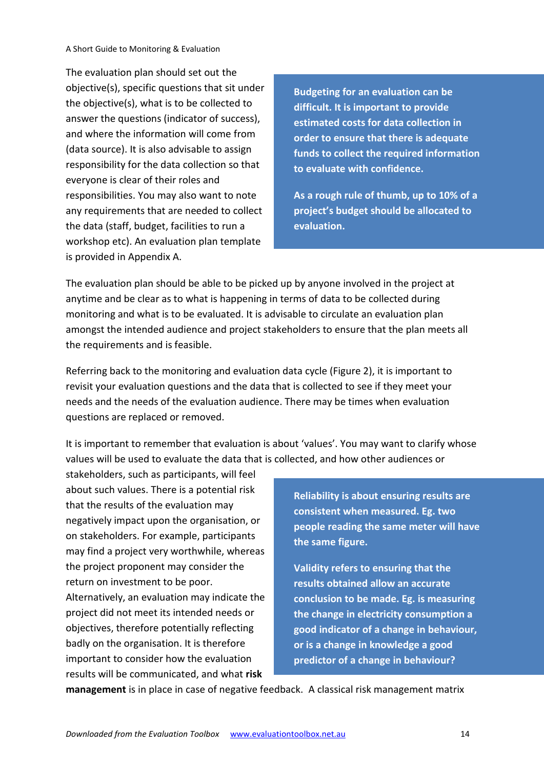The evaluation plan should set out the objective(s), specific questions that sit under the objective(s), what is to be collected to answer the questions (indicator of success), and where the information will come from (data source). It is also advisable to assign responsibility for the data collection so that everyone is clear of their roles and responsibilities. You may also want to note any requirements that are needed to collect the data (staff, budget, facilities to run a workshop etc). An evaluation plan template is provided in Appendix A.

**Budgeting for an evaluation can be difficult. It is important to provide estimated costs for data collection in order to ensure that there is adequate funds to collect the required information to evaluate with confidence.**

**As a rough rule of thumb, up to 10% of a project's budget should be allocated to evaluation.**

The evaluation plan should be able to be picked up by anyone involved in the project at anytime and be clear as to what is happening in terms of data to be collected during monitoring and what is to be evaluated. It is advisable to circulate an evaluation plan amongst the intended audience and project stakeholders to ensure that the plan meets all the requirements and is feasible.

Referring back to the monitoring and evaluation data cycle (Figure 2), it is important to revisit your evaluation questions and the data that is collected to see if they meet your needs and the needs of the evaluation audience. There may be times when evaluation questions are replaced or removed.

It is important to remember that evaluation is about 'values'. You may want to clarify whose values will be used to evaluate the data that is collected, and how other audiences or

stakeholders, such as participants, will feel about such values. There is a potential risk that the results of the evaluation may negatively impact upon the organisation, or on stakeholders. For example, participants may find a project very worthwhile, whereas the project proponent may consider the return on investment to be poor. Alternatively, an evaluation may indicate the project did not meet its intended needs or objectives, therefore potentially reflecting badly on the organisation. It is therefore important to consider how the evaluation results will be communicated, and what **risk** 

**Reliability is about ensuring results are consistent when measured. Eg. two people reading the same meter will have the same figure.** 

**Validity refers to ensuring that the results obtained allow an accurate conclusion to be made. Eg. is measuring the change in electricity consumption a good indicator of a change in behaviour, or is a change in knowledge a good predictor of a change in behaviour?**

**management** is in place in case of negative feedback. A classical risk management matrix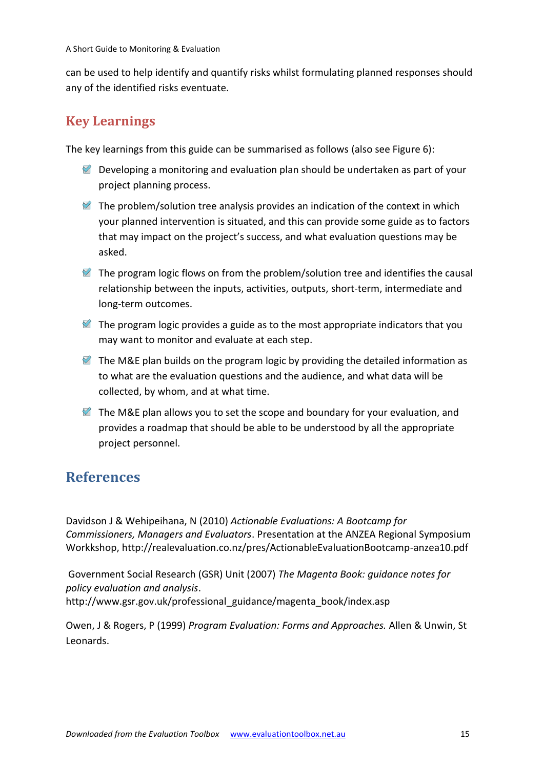can be used to help identify and quantify risks whilst formulating planned responses should any of the identified risks eventuate.

# <span id="page-17-0"></span>**Key Learnings**

The key learnings from this guide can be summarised as follows (also see Figure 6):

- $\blacksquare$  Developing a monitoring and evaluation plan should be undertaken as part of your project planning process.
- $\mathcal{F}$  The problem/solution tree analysis provides an indication of the context in which your planned intervention is situated, and this can provide some guide as to factors that may impact on the project's success, and what evaluation questions may be asked.
- $\mathbb Z$  The program logic flows on from the problem/solution tree and identifies the causal relationship between the inputs, activities, outputs, short-term, intermediate and long-term outcomes.
- $\mathcal{C}$  The program logic provides a guide as to the most appropriate indicators that you may want to monitor and evaluate at each step.
- $\blacksquare$  The M&E plan builds on the program logic by providing the detailed information as to what are the evaluation questions and the audience, and what data will be collected, by whom, and at what time.
- $\blacksquare$  The M&E plan allows you to set the scope and boundary for your evaluation, and provides a roadmap that should be able to be understood by all the appropriate project personnel.

# <span id="page-17-1"></span>**References**

Davidson J & Wehipeihana, N (2010) *Actionable Evaluations: A Bootcamp for Commissioners, Managers and Evaluators*. Presentation at the ANZEA Regional Symposium Workkshop,<http://realevaluation.co.nz/pres/ActionableEvaluationBootcamp-anzea10.pdf>

Government Social Research (GSR) Unit (2007) *The Magenta Book: guidance notes for policy evaluation and analysis*. http://www.gsr.gov.uk/professional\_guidance/magenta\_book/index.asp

Owen, J & Rogers, P (1999) *Program Evaluation: Forms and Approaches.* Allen & Unwin, St Leonards.